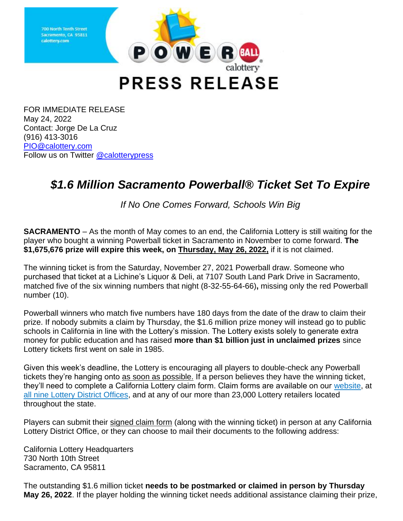

**PRESS RELEASE** 

FOR IMMEDIATE RELEASE May 24, 2022 Contact: Jorge De La Cruz (916) 413-3016 [PIO@calottery.com](mailto:PIO@calottery.com) Follow us on Twitter [@calotterypress](https://twitter.com/calotterypress)

## *\$1.6 Million Sacramento Powerball® Ticket Set To Expire*

*If No One Comes Forward, Schools Win Big*

**SACRAMENTO** – As the month of May comes to an end, the California Lottery is still waiting for the player who bought a winning Powerball ticket in Sacramento in November to come forward. **The \$1,675,676 prize will expire this week, on Thursday, May 26, 2022,** if it is not claimed.

The winning ticket is from the Saturday, November 27, 2021 Powerball draw. Someone who purchased that ticket at a Lichine's Liquor & Deli, at 7107 South Land Park Drive in Sacramento, matched five of the six winning numbers that night (8-32-55-64-66)**,** missing only the red Powerball number (10).

Powerball winners who match five numbers have 180 days from the date of the draw to claim their prize. If nobody submits a claim by Thursday, the \$1.6 million prize money will instead go to public schools in California in line with the Lottery's mission. The Lottery exists solely to generate extra money for public education and has raised **more than \$1 billion just in unclaimed prizes** since Lottery tickets first went on sale in 1985.

Given this week's deadline, the Lottery is encouraging all players to double-check any Powerball tickets they're hanging onto as soon as possible. If a person believes they have the winning ticket, they'll need to complete a California Lottery claim form. Claim forms are available on our [website,](https://www.calottery.com/claim-a-prize) at all nine Lottery [District Offices,](https://www.calottery.com/about-us/district-offices) and at any of our more than 23,000 Lottery retailers located throughout the state.

Players can submit their signed claim form (along with the winning ticket) in person at any California Lottery District Office, or they can choose to mail their documents to the following address:

California Lottery Headquarters 730 North 10th Street Sacramento, CA 95811

The outstanding \$1.6 million ticket **needs to be postmarked or claimed in person by Thursday May 26, 2022**. If the player holding the winning ticket needs additional assistance claiming their prize,